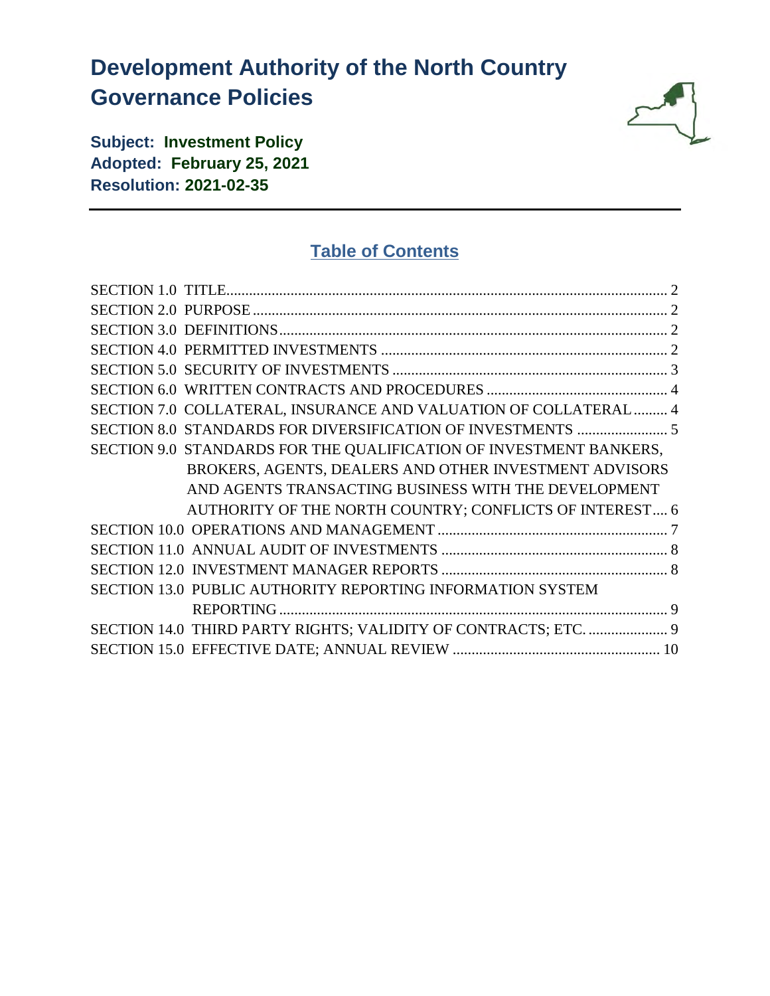# **Development Authority of the North Country Governance Policies**



**Subject: Investment Policy Adopted: February 25, 2021 Resolution: 2021-02-35**

# **Table of Contents**

| SECTION 7.0 COLLATERAL, INSURANCE AND VALUATION OF COLLATERAL  4   |  |
|--------------------------------------------------------------------|--|
|                                                                    |  |
| SECTION 9.0 STANDARDS FOR THE QUALIFICATION OF INVESTMENT BANKERS, |  |
| BROKERS, AGENTS, DEALERS AND OTHER INVESTMENT ADVISORS             |  |
| AND AGENTS TRANSACTING BUSINESS WITH THE DEVELOPMENT               |  |
| AUTHORITY OF THE NORTH COUNTRY; CONFLICTS OF INTEREST 6            |  |
|                                                                    |  |
|                                                                    |  |
|                                                                    |  |
| SECTION 13.0 PUBLIC AUTHORITY REPORTING INFORMATION SYSTEM         |  |
|                                                                    |  |
| SECTION 14.0 THIRD PARTY RIGHTS; VALIDITY OF CONTRACTS; ETC.  9    |  |
|                                                                    |  |
|                                                                    |  |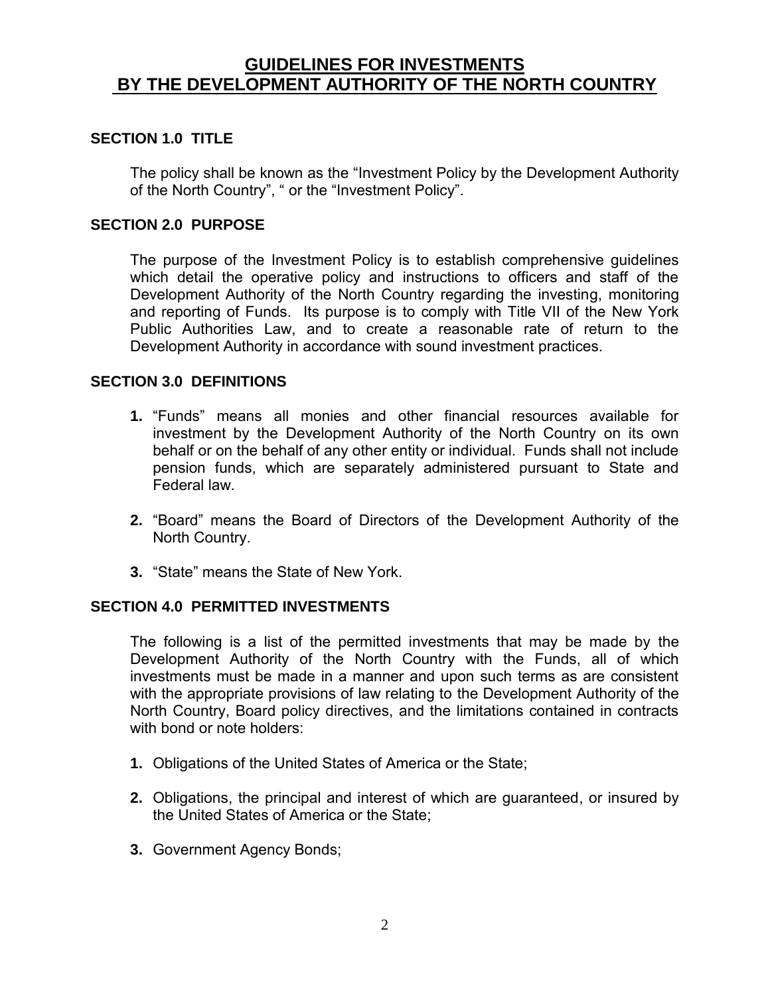# **GUIDELINES FOR INVESTMENTS BY THE DEVELOPMENT AUTHORITY OF THE NORTH COUNTRY**

#### <span id="page-1-0"></span>**SECTION 1.0 TITLE**

The policy shall be known as the "Investment Policy by the Development Authority of the North Country", " or the "Investment Policy".

#### <span id="page-1-1"></span>**SECTION 2.0 PURPOSE**

The purpose of the Investment Policy is to establish comprehensive guidelines which detail the operative policy and instructions to officers and staff of the Development Authority of the North Country regarding the investing, monitoring and reporting of Funds. Its purpose is to comply with Title VII of the New York Public Authorities Law, and to create a reasonable rate of return to the Development Authority in accordance with sound investment practices.

#### <span id="page-1-2"></span>**SECTION 3.0 DEFINITIONS**

- **1.** "Funds" means all monies and other financial resources available for investment by the Development Authority of the North Country on its own behalf or on the behalf of any other entity or individual. Funds shall not include pension funds, which are separately administered pursuant to State and Federal law.
- **2.** "Board" means the Board of Directors of the Development Authority of the North Country.
- **3.** "State" means the State of New York.

#### <span id="page-1-3"></span>**SECTION 4.0 PERMITTED INVESTMENTS**

The following is a list of the permitted investments that may be made by the Development Authority of the North Country with the Funds, all of which investments must be made in a manner and upon such terms as are consistent with the appropriate provisions of law relating to the Development Authority of the North Country, Board policy directives, and the limitations contained in contracts with bond or note holders:

- **1.** Obligations of the United States of America or the State;
- **2.** Obligations, the principal and interest of which are guaranteed, or insured by the United States of America or the State;
- **3.** Government Agency Bonds;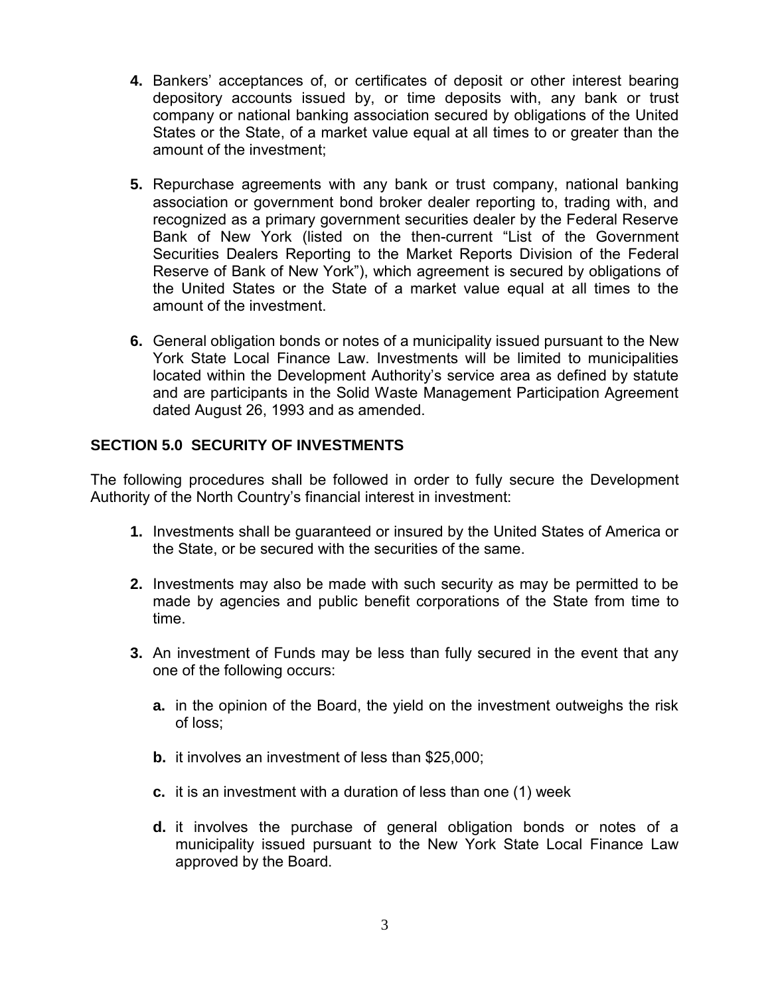- **4.** Bankers' acceptances of, or certificates of deposit or other interest bearing depository accounts issued by, or time deposits with, any bank or trust company or national banking association secured by obligations of the United States or the State, of a market value equal at all times to or greater than the amount of the investment;
- **5.** Repurchase agreements with any bank or trust company, national banking association or government bond broker dealer reporting to, trading with, and recognized as a primary government securities dealer by the Federal Reserve Bank of New York (listed on the then-current "List of the Government Securities Dealers Reporting to the Market Reports Division of the Federal Reserve of Bank of New York"), which agreement is secured by obligations of the United States or the State of a market value equal at all times to the amount of the investment.
- **6.** General obligation bonds or notes of a municipality issued pursuant to the New York State Local Finance Law. Investments will be limited to municipalities located within the Development Authority's service area as defined by statute and are participants in the Solid Waste Management Participation Agreement dated August 26, 1993 and as amended.

# <span id="page-2-0"></span>**SECTION 5.0 SECURITY OF INVESTMENTS**

The following procedures shall be followed in order to fully secure the Development Authority of the North Country's financial interest in investment:

- **1.** Investments shall be guaranteed or insured by the United States of America or the State, or be secured with the securities of the same.
- **2.** Investments may also be made with such security as may be permitted to be made by agencies and public benefit corporations of the State from time to time.
- **3.** An investment of Funds may be less than fully secured in the event that any one of the following occurs:
	- **a.** in the opinion of the Board, the yield on the investment outweighs the risk of loss;
	- **b.** it involves an investment of less than \$25,000;
	- **c.** it is an investment with a duration of less than one (1) week
	- **d.** it involves the purchase of general obligation bonds or notes of a municipality issued pursuant to the New York State Local Finance Law approved by the Board.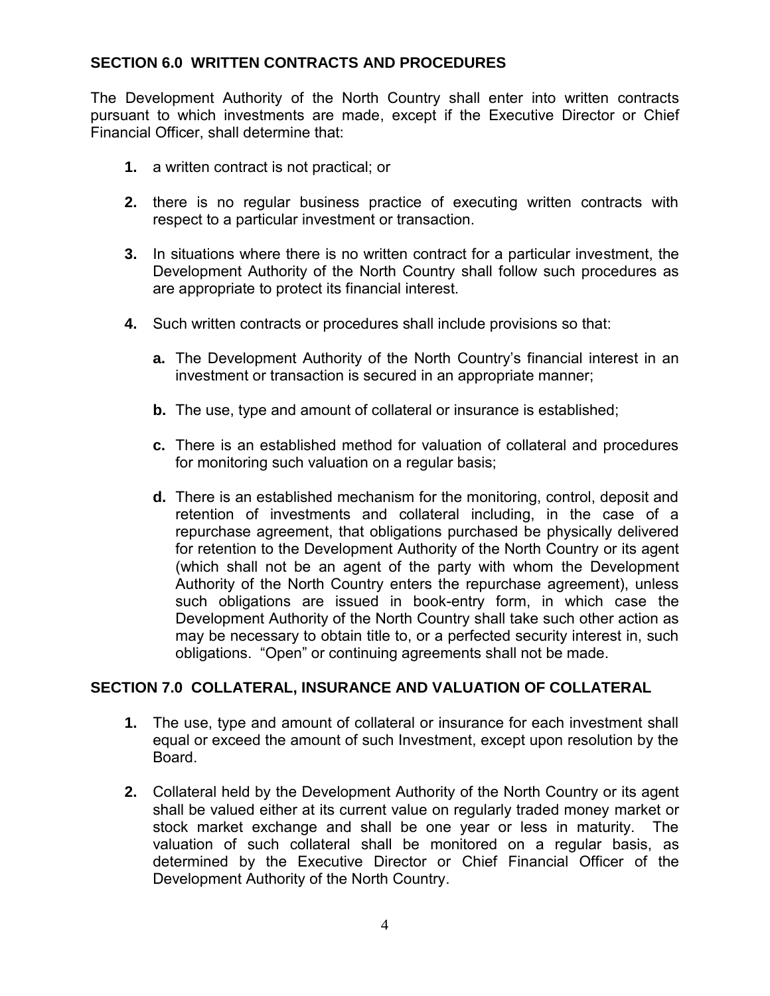#### <span id="page-3-0"></span>**SECTION 6.0 WRITTEN CONTRACTS AND PROCEDURES**

The Development Authority of the North Country shall enter into written contracts pursuant to which investments are made, except if the Executive Director or Chief Financial Officer, shall determine that:

- **1.** a written contract is not practical; or
- **2.** there is no regular business practice of executing written contracts with respect to a particular investment or transaction.
- **3.** In situations where there is no written contract for a particular investment, the Development Authority of the North Country shall follow such procedures as are appropriate to protect its financial interest.
- **4.** Such written contracts or procedures shall include provisions so that:
	- **a.** The Development Authority of the North Country's financial interest in an investment or transaction is secured in an appropriate manner;
	- **b.** The use, type and amount of collateral or insurance is established;
	- **c.** There is an established method for valuation of collateral and procedures for monitoring such valuation on a regular basis;
	- **d.** There is an established mechanism for the monitoring, control, deposit and retention of investments and collateral including, in the case of a repurchase agreement, that obligations purchased be physically delivered for retention to the Development Authority of the North Country or its agent (which shall not be an agent of the party with whom the Development Authority of the North Country enters the repurchase agreement), unless such obligations are issued in book-entry form, in which case the Development Authority of the North Country shall take such other action as may be necessary to obtain title to, or a perfected security interest in, such obligations. "Open" or continuing agreements shall not be made.

#### <span id="page-3-1"></span>**SECTION 7.0 COLLATERAL, INSURANCE AND VALUATION OF COLLATERAL**

- **1.** The use, type and amount of collateral or insurance for each investment shall equal or exceed the amount of such Investment, except upon resolution by the Board.
- **2.** Collateral held by the Development Authority of the North Country or its agent shall be valued either at its current value on regularly traded money market or stock market exchange and shall be one year or less in maturity. The valuation of such collateral shall be monitored on a regular basis, as determined by the Executive Director or Chief Financial Officer of the Development Authority of the North Country.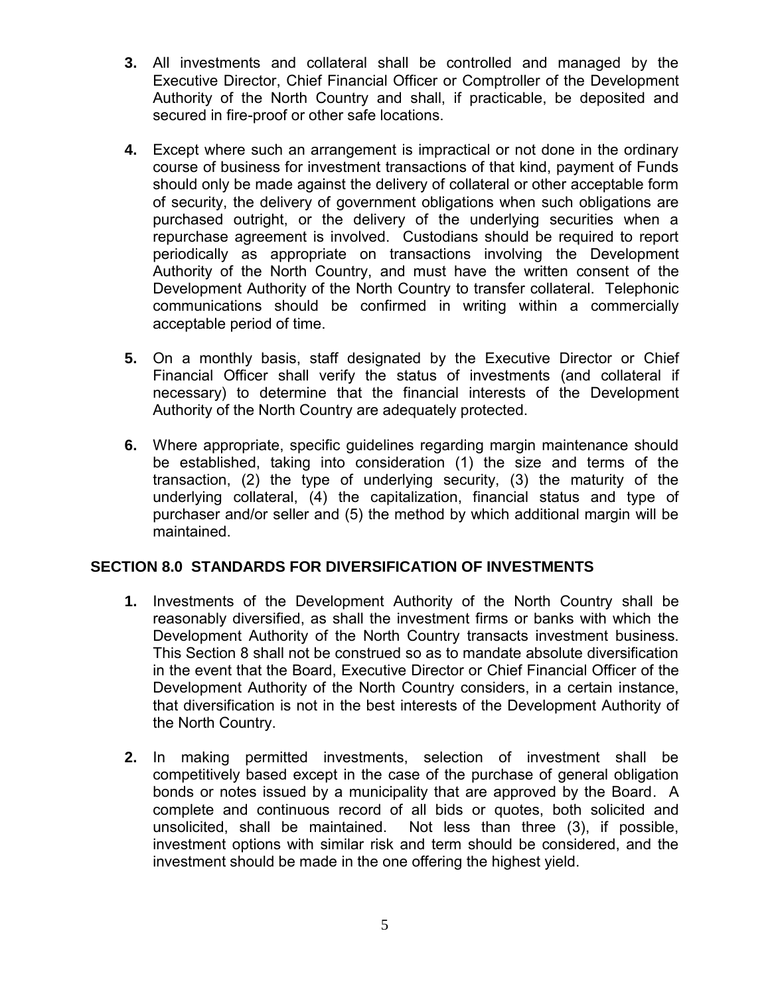- **3.** All investments and collateral shall be controlled and managed by the Executive Director, Chief Financial Officer or Comptroller of the Development Authority of the North Country and shall, if practicable, be deposited and secured in fire-proof or other safe locations.
- **4.** Except where such an arrangement is impractical or not done in the ordinary course of business for investment transactions of that kind, payment of Funds should only be made against the delivery of collateral or other acceptable form of security, the delivery of government obligations when such obligations are purchased outright, or the delivery of the underlying securities when a repurchase agreement is involved. Custodians should be required to report periodically as appropriate on transactions involving the Development Authority of the North Country, and must have the written consent of the Development Authority of the North Country to transfer collateral. Telephonic communications should be confirmed in writing within a commercially acceptable period of time.
- **5.** On a monthly basis, staff designated by the Executive Director or Chief Financial Officer shall verify the status of investments (and collateral if necessary) to determine that the financial interests of the Development Authority of the North Country are adequately protected.
- **6.** Where appropriate, specific guidelines regarding margin maintenance should be established, taking into consideration (1) the size and terms of the transaction, (2) the type of underlying security, (3) the maturity of the underlying collateral, (4) the capitalization, financial status and type of purchaser and/or seller and (5) the method by which additional margin will be maintained.

# <span id="page-4-0"></span>**SECTION 8.0 STANDARDS FOR DIVERSIFICATION OF INVESTMENTS**

- **1.** Investments of the Development Authority of the North Country shall be reasonably diversified, as shall the investment firms or banks with which the Development Authority of the North Country transacts investment business. This Section 8 shall not be construed so as to mandate absolute diversification in the event that the Board, Executive Director or Chief Financial Officer of the Development Authority of the North Country considers, in a certain instance, that diversification is not in the best interests of the Development Authority of the North Country.
- **2.** In making permitted investments, selection of investment shall be competitively based except in the case of the purchase of general obligation bonds or notes issued by a municipality that are approved by the Board. A complete and continuous record of all bids or quotes, both solicited and unsolicited, shall be maintained. Not less than three (3), if possible, investment options with similar risk and term should be considered, and the investment should be made in the one offering the highest yield.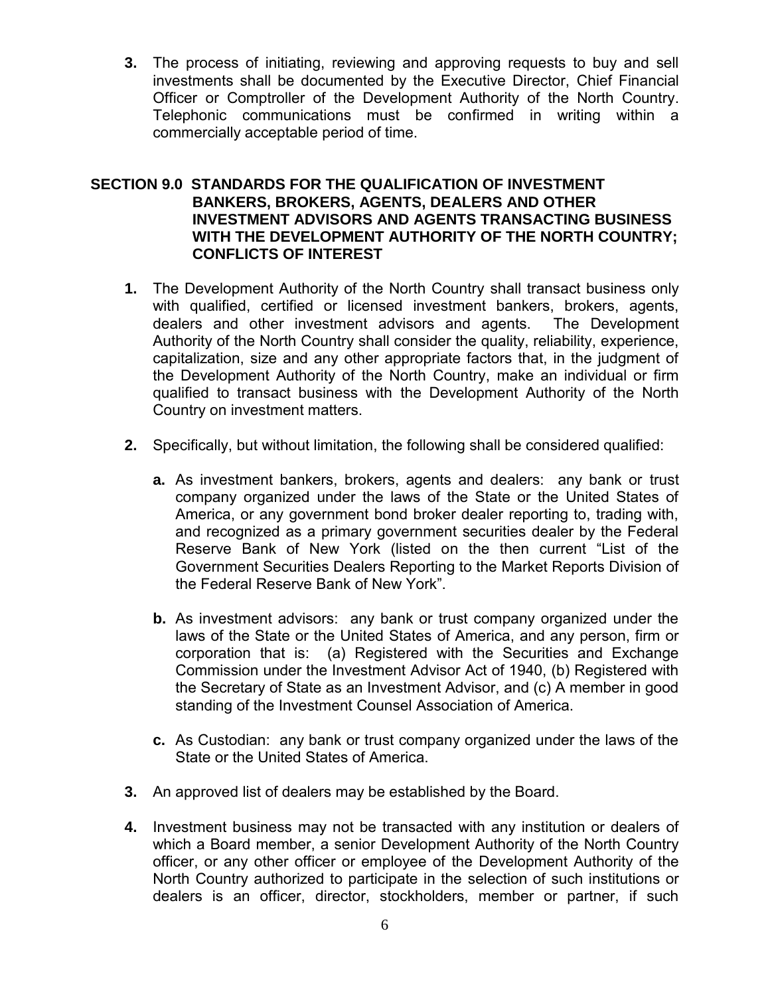**3.** The process of initiating, reviewing and approving requests to buy and sell investments shall be documented by the Executive Director, Chief Financial Officer or Comptroller of the Development Authority of the North Country. Telephonic communications must be confirmed in writing within a commercially acceptable period of time.

#### <span id="page-5-0"></span>**SECTION 9.0 STANDARDS FOR THE QUALIFICATION OF INVESTMENT BANKERS, BROKERS, AGENTS, DEALERS AND OTHER INVESTMENT ADVISORS AND AGENTS TRANSACTING BUSINESS WITH THE DEVELOPMENT AUTHORITY OF THE NORTH COUNTRY; CONFLICTS OF INTEREST**

- **1.** The Development Authority of the North Country shall transact business only with qualified, certified or licensed investment bankers, brokers, agents, dealers and other investment advisors and agents. The Development Authority of the North Country shall consider the quality, reliability, experience, capitalization, size and any other appropriate factors that, in the judgment of the Development Authority of the North Country, make an individual or firm qualified to transact business with the Development Authority of the North Country on investment matters.
- **2.** Specifically, but without limitation, the following shall be considered qualified:
	- **a.** As investment bankers, brokers, agents and dealers: any bank or trust company organized under the laws of the State or the United States of America, or any government bond broker dealer reporting to, trading with, and recognized as a primary government securities dealer by the Federal Reserve Bank of New York (listed on the then current "List of the Government Securities Dealers Reporting to the Market Reports Division of the Federal Reserve Bank of New York".
	- **b.** As investment advisors: any bank or trust company organized under the laws of the State or the United States of America, and any person, firm or corporation that is: (a) Registered with the Securities and Exchange Commission under the Investment Advisor Act of 1940, (b) Registered with the Secretary of State as an Investment Advisor, and (c) A member in good standing of the Investment Counsel Association of America.
	- **c.** As Custodian: any bank or trust company organized under the laws of the State or the United States of America.
- **3.** An approved list of dealers may be established by the Board.
- **4.** Investment business may not be transacted with any institution or dealers of which a Board member, a senior Development Authority of the North Country officer, or any other officer or employee of the Development Authority of the North Country authorized to participate in the selection of such institutions or dealers is an officer, director, stockholders, member or partner, if such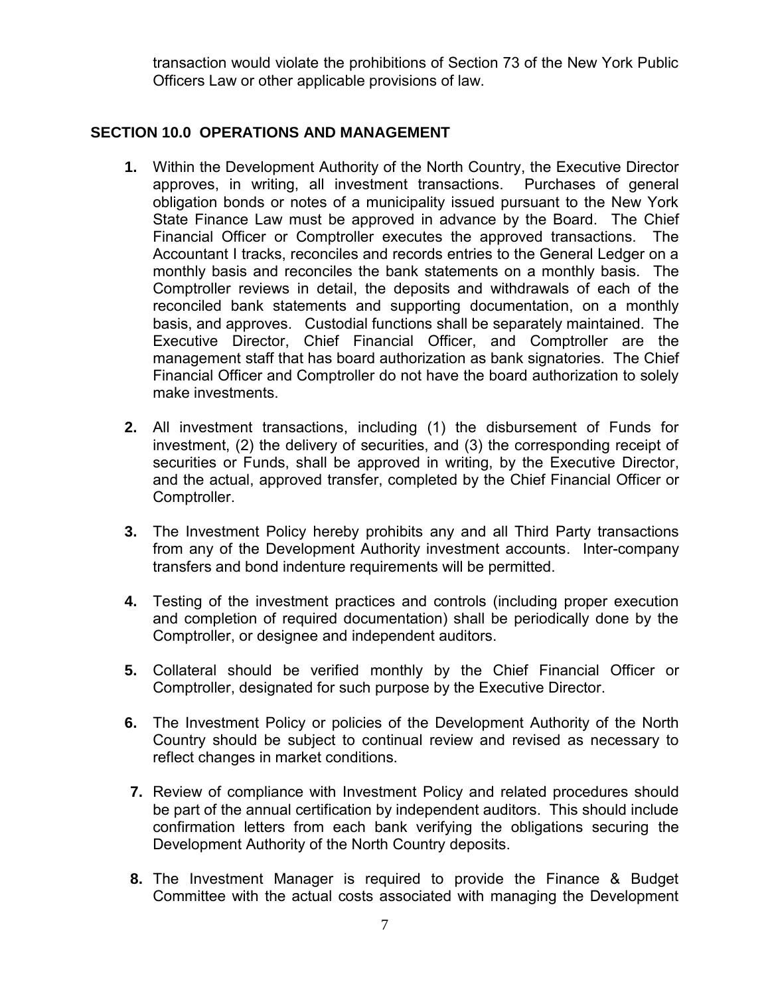transaction would violate the prohibitions of Section 73 of the New York Public Officers Law or other applicable provisions of law.

### <span id="page-6-0"></span>**SECTION 10.0 OPERATIONS AND MANAGEMENT**

- **1.** Within the Development Authority of the North Country, the Executive Director approves, in writing, all investment transactions. Purchases of general obligation bonds or notes of a municipality issued pursuant to the New York State Finance Law must be approved in advance by the Board. The Chief Financial Officer or Comptroller executes the approved transactions. The Accountant I tracks, reconciles and records entries to the General Ledger on a monthly basis and reconciles the bank statements on a monthly basis. The Comptroller reviews in detail, the deposits and withdrawals of each of the reconciled bank statements and supporting documentation, on a monthly basis, and approves. Custodial functions shall be separately maintained. The Executive Director, Chief Financial Officer, and Comptroller are the management staff that has board authorization as bank signatories. The Chief Financial Officer and Comptroller do not have the board authorization to solely make investments.
- **2.** All investment transactions, including (1) the disbursement of Funds for investment, (2) the delivery of securities, and (3) the corresponding receipt of securities or Funds, shall be approved in writing, by the Executive Director, and the actual, approved transfer, completed by the Chief Financial Officer or Comptroller.
- **3.** The Investment Policy hereby prohibits any and all Third Party transactions from any of the Development Authority investment accounts. Inter-company transfers and bond indenture requirements will be permitted.
- **4.** Testing of the investment practices and controls (including proper execution and completion of required documentation) shall be periodically done by the Comptroller, or designee and independent auditors.
- **5.** Collateral should be verified monthly by the Chief Financial Officer or Comptroller, designated for such purpose by the Executive Director.
- **6.** The Investment Policy or policies of the Development Authority of the North Country should be subject to continual review and revised as necessary to reflect changes in market conditions.
- **7.** Review of compliance with Investment Policy and related procedures should be part of the annual certification by independent auditors. This should include confirmation letters from each bank verifying the obligations securing the Development Authority of the North Country deposits.
- **8.** The Investment Manager is required to provide the Finance & Budget Committee with the actual costs associated with managing the Development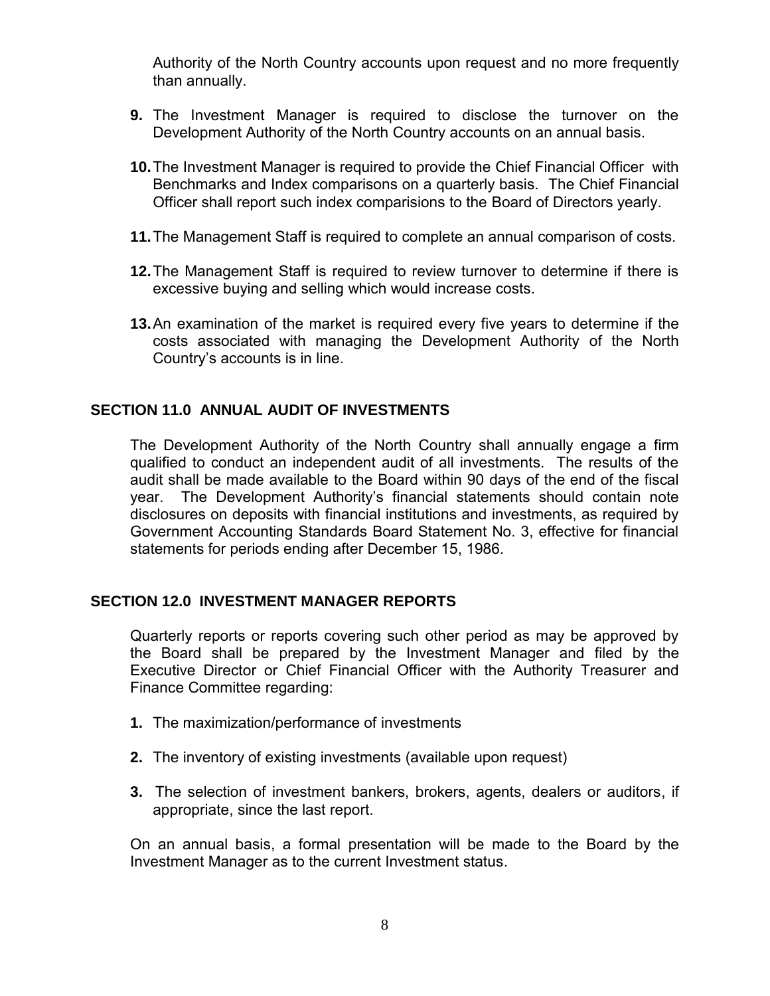Authority of the North Country accounts upon request and no more frequently than annually.

- **9.** The Investment Manager is required to disclose the turnover on the Development Authority of the North Country accounts on an annual basis.
- **10.**The Investment Manager is required to provide the Chief Financial Officer with Benchmarks and Index comparisons on a quarterly basis. The Chief Financial Officer shall report such index comparisions to the Board of Directors yearly.
- **11.**The Management Staff is required to complete an annual comparison of costs.
- **12.**The Management Staff is required to review turnover to determine if there is excessive buying and selling which would increase costs.
- **13.**An examination of the market is required every five years to determine if the costs associated with managing the Development Authority of the North Country's accounts is in line.

#### <span id="page-7-0"></span>**SECTION 11.0 ANNUAL AUDIT OF INVESTMENTS**

The Development Authority of the North Country shall annually engage a firm qualified to conduct an independent audit of all investments. The results of the audit shall be made available to the Board within 90 days of the end of the fiscal year. The Development Authority's financial statements should contain note disclosures on deposits with financial institutions and investments, as required by Government Accounting Standards Board Statement No. 3, effective for financial statements for periods ending after December 15, 1986.

#### <span id="page-7-1"></span>**SECTION 12.0 INVESTMENT MANAGER REPORTS**

Quarterly reports or reports covering such other period as may be approved by the Board shall be prepared by the Investment Manager and filed by the Executive Director or Chief Financial Officer with the Authority Treasurer and Finance Committee regarding:

- **1.** The maximization/performance of investments
- **2.** The inventory of existing investments (available upon request)
- **3.** The selection of investment bankers, brokers, agents, dealers or auditors, if appropriate, since the last report.

On an annual basis, a formal presentation will be made to the Board by the Investment Manager as to the current Investment status.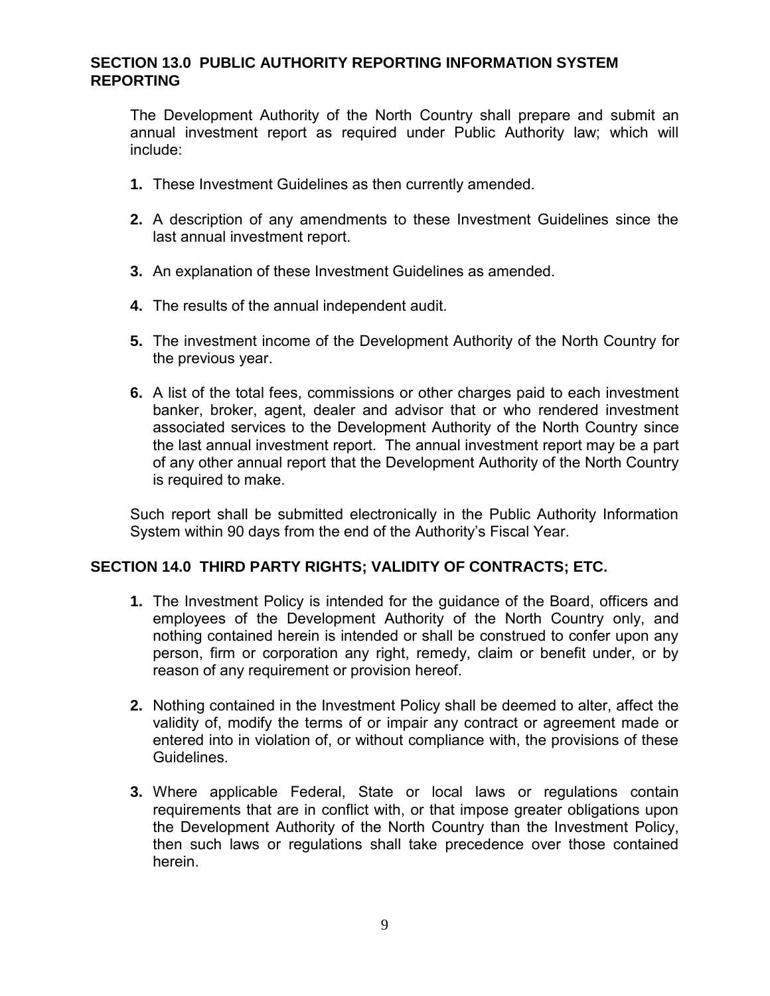#### <span id="page-8-0"></span>**SECTION 13.0 PUBLIC AUTHORITY REPORTING INFORMATION SYSTEM REPORTING**

The Development Authority of the North Country shall prepare and submit an annual investment report as required under Public Authority law; which will include:

- **1.** These Investment Guidelines as then currently amended.
- **2.** A description of any amendments to these Investment Guidelines since the last annual investment report.
- **3.** An explanation of these Investment Guidelines as amended.
- **4.** The results of the annual independent audit.
- **5.** The investment income of the Development Authority of the North Country for the previous year.
- **6.** A list of the total fees, commissions or other charges paid to each investment banker, broker, agent, dealer and advisor that or who rendered investment associated services to the Development Authority of the North Country since the last annual investment report. The annual investment report may be a part of any other annual report that the Development Authority of the North Country is required to make.

Such report shall be submitted electronically in the Public Authority Information System within 90 days from the end of the Authority's Fiscal Year.

#### <span id="page-8-1"></span>**SECTION 14.0 THIRD PARTY RIGHTS; VALIDITY OF CONTRACTS; ETC.**

- **1.** The Investment Policy is intended for the guidance of the Board, officers and employees of the Development Authority of the North Country only, and nothing contained herein is intended or shall be construed to confer upon any person, firm or corporation any right, remedy, claim or benefit under, or by reason of any requirement or provision hereof.
- **2.** Nothing contained in the Investment Policy shall be deemed to alter, affect the validity of, modify the terms of or impair any contract or agreement made or entered into in violation of, or without compliance with, the provisions of these **Guidelines**
- **3.** Where applicable Federal, State or local laws or regulations contain requirements that are in conflict with, or that impose greater obligations upon the Development Authority of the North Country than the Investment Policy, then such laws or regulations shall take precedence over those contained herein.